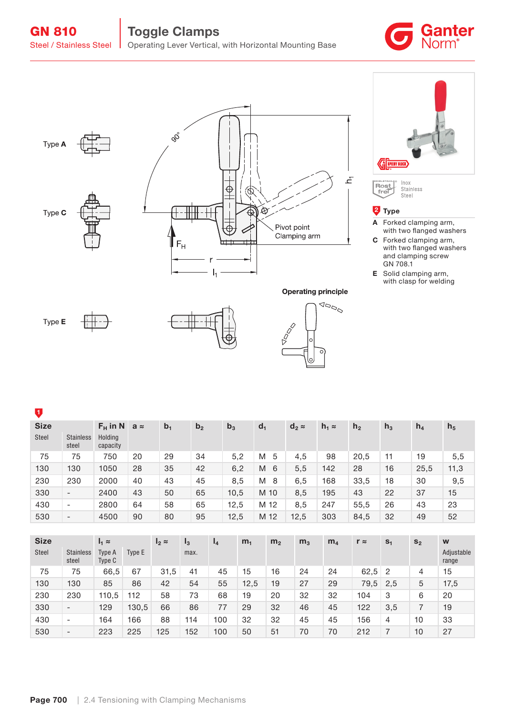GN 810 | Toggle Clamps Steel / Stainless Steel | Operating Lever Vertical, with Horizontal Mounting Base





Type A







Inox<br>Stainless<br>Steel Rost<br>frei

## <sup>2</sup> Type

- A Forked clamping arm, with two flanged washers
- C Forked clamping arm, with two flanged washers and clamping screw GN 708.1
- E Solid clamping arm, with clasp for welding







# $\bullet$

| <b>Size</b> |                           | $F_H$ in N          | $a \approx$ | b <sub>1</sub> | b <sub>2</sub> | b <sub>3</sub> | $d_1$  | $d_2 \approx$ | $h_1 \approx$ | h <sub>2</sub> | $h_3$ | $h_4$ | h <sub>5</sub> |
|-------------|---------------------------|---------------------|-------------|----------------|----------------|----------------|--------|---------------|---------------|----------------|-------|-------|----------------|
| Steel       | <b>Stainless</b><br>steel | Holdina<br>capacity |             |                |                |                |        |               |               |                |       |       |                |
| 75          | 75                        | 750                 | 20          | 29             | 34             | 5,2            | 5<br>M | 4,5           | 98            | 20.5           | 11    | 19    | 5,5            |
| 130         | 130                       | 1050                | 28          | 35             | 42             | 6,2            | M<br>6 | 5,5           | 142           | 28             | 16    | 25,5  | 11,3           |
| 230         | 230                       | 2000                | 40          | 43             | 45             | 8,5            | M<br>8 | 6,5           | 168           | 33,5           | 18    | 30    | 9,5            |
| 330         | $\overline{\phantom{a}}$  | 2400                | 43          | 50             | 65             | 10.5           | M 10   | 8,5           | 195           | 43             | 22    | 37    | 15             |
| 430         | $\overline{\phantom{a}}$  | 2800                | 64          | 58             | 65             | 12.5           | M 12   | 8,5           | 247           | 55.5           | 26    | 43    | 23             |
| 530         | $\overline{\phantom{a}}$  | 4500                | 90          | 80             | 95             | 12,5           | M 12   | 12,5          | 303           | 84,5           | 32    | 49    | 52             |

| <b>Size</b> |                           | $I_1 \approx$    |        | $I_2 \approx$ | $I_3$ | $I_4$ | m <sub>1</sub> | m <sub>2</sub> | m <sub>3</sub> | m <sub>4</sub> | $r \approx$ | S <sub>1</sub> | S <sub>2</sub> | W                   |
|-------------|---------------------------|------------------|--------|---------------|-------|-------|----------------|----------------|----------------|----------------|-------------|----------------|----------------|---------------------|
| Steel       | <b>Stainless</b><br>steel | Type A<br>Type C | Type E |               | max.  |       |                |                |                |                |             |                |                | Adjustable<br>range |
| 75          | 75                        | 66,5             | 67     | 31,5          | 41    | 45    | 15             | 16             | 24             | 24             | $62,5$ 2    |                | 4              | 15                  |
| 130         | 130                       | 85               | 86     | 42            | 54    | 55    | 12,5           | 19             | 27             | 29             | 79,5        | 2,5            | 5              | 17,5                |
| 230         | 230                       | 110,5            | 112    | 58            | 73    | 68    | 19             | 20             | 32             | 32             | 104         | 3              | 6              | 20                  |
| 330         | $\overline{\phantom{a}}$  | 129              | 130,5  | 66            | 86    | 77    | 29             | 32             | 46             | 45             | 122         | 3.5            |                | 19                  |
| 430         | $\qquad \qquad$           | 164              | 166    | 88            | 114   | 100   | 32             | 32             | 45             | 45             | 156         | 4              | 10             | 33                  |
| 530         | $\overline{\phantom{a}}$  | 223              | 225    | 125           | 152   | 100   | 50             | 51             | 70             | 70             | 212         |                | 10             | 27                  |